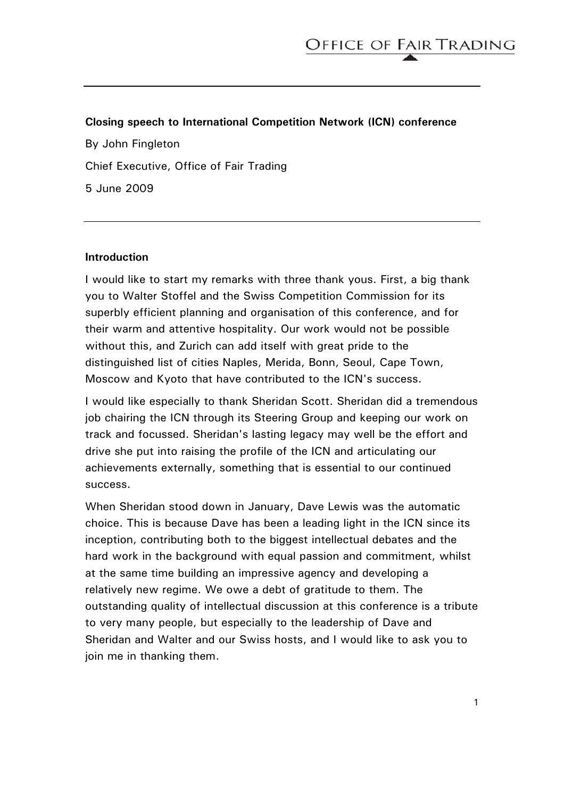### **Closing speech to International Competition Network (ICN) conference**

By John Fingleton Chief Executive, Office of Fair Trading 5 June 2009

#### **Introduction**

I would like to start my remarks with three thank yous. First, a big thank you to Walter Stoffel and the Swiss Competition Commission for its superbly efficient planning and organisation of this conference, and for their warm and attentive hospitality. Our work would not be possible without this, and Zurich can add itself with great pride to the distinguished list of cities Naples, Merida, Bonn, Seoul, Cape Town, Moscow and Kyoto that have contributed to the ICN's success.

I would like especially to thank Sheridan Scott. Sheridan did a tremendous job chairing the ICN through its Steering Group and keeping our work on track and focussed. Sheridan's lasting legacy may well be the effort and drive she put into raising the profile of the ICN and articulating our achievements externally, something that is essential to our continued success.

When Sheridan stood down in January, Dave Lewis was the automatic choice. This is because Dave has been a leading light in the ICN since its inception, contributing both to the biggest intellectual debates and the hard work in the background with equal passion and commitment, whilst at the same time building an impressive agency and developing a relatively new regime. We owe a debt of gratitude to them. The outstanding quality of intellectual discussion at this conference is a tribute to very many people, but especially to the leadership of Dave and Sheridan and Walter and our Swiss hosts, and I would like to ask you to join me in thanking them.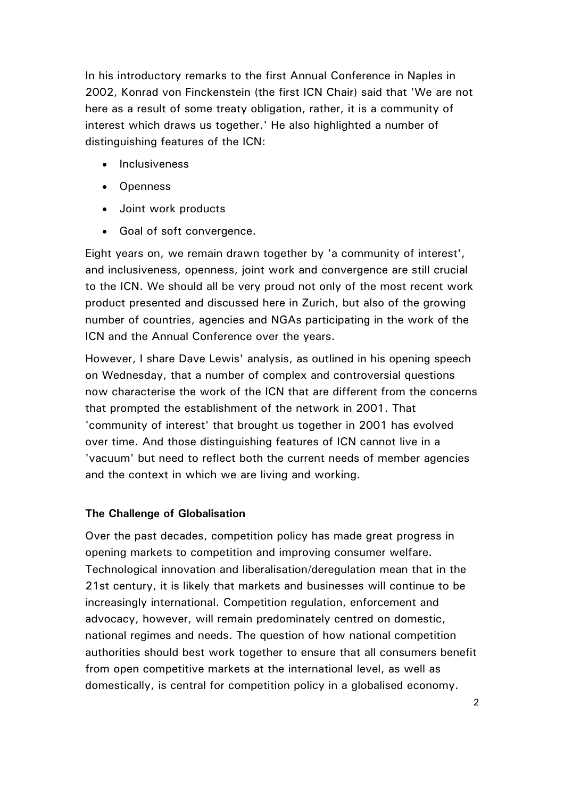In his introductory remarks to the first Annual Conference in Naples in 2002, Konrad von Finckenstein (the first ICN Chair) said that 'We are not here as a result of some treaty obligation, rather, it is a community of interest which draws us together.' He also highlighted a number of distinguishing features of the ICN:

- **Inclusiveness**
- Openness
- Joint work products
- Goal of soft convergence.

Eight years on, we remain drawn together by 'a community of interest', and inclusiveness, openness, joint work and convergence are still crucial to the ICN. We should all be very proud not only of the most recent work product presented and discussed here in Zurich, but also of the growing number of countries, agencies and NGAs participating in the work of the ICN and the Annual Conference over the years.

However, I share Dave Lewis' analysis, as outlined in his opening speech on Wednesday, that a number of complex and controversial questions now characterise the work of the ICN that are different from the concerns that prompted the establishment of the network in 2001. That 'community of interest' that brought us together in 2001 has evolved over time. And those distinguishing features of ICN cannot live in a 'vacuum' but need to reflect both the current needs of member agencies and the context in which we are living and working.

# **The Challenge of Globalisation**

Over the past decades, competition policy has made great progress in opening markets to competition and improving consumer welfare. Technological innovation and liberalisation/deregulation mean that in the 21st century, it is likely that markets and businesses will continue to be increasingly international. Competition regulation, enforcement and advocacy, however, will remain predominately centred on domestic, national regimes and needs. The question of how national competition authorities should best work together to ensure that all consumers benefit from open competitive markets at the international level, as well as domestically, is central for competition policy in a globalised economy.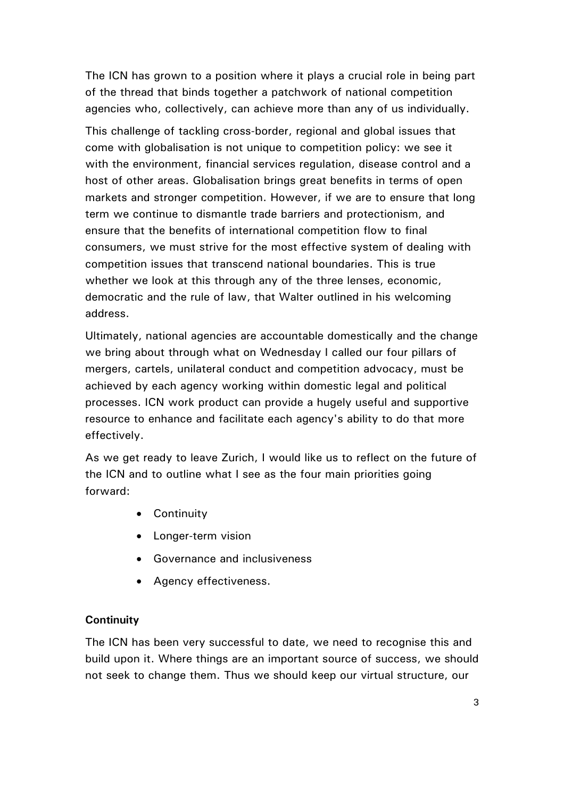The ICN has grown to a position where it plays a crucial role in being part of the thread that binds together a patchwork of national competition agencies who, collectively, can achieve more than any of us individually.

This challenge of tackling cross-border, regional and global issues that come with globalisation is not unique to competition policy: we see it with the environment, financial services regulation, disease control and a host of other areas. Globalisation brings great benefits in terms of open markets and stronger competition. However, if we are to ensure that long term we continue to dismantle trade barriers and protectionism, and ensure that the benefits of international competition flow to final consumers, we must strive for the most effective system of dealing with competition issues that transcend national boundaries. This is true whether we look at this through any of the three lenses, economic, democratic and the rule of law, that Walter outlined in his welcoming address.

Ultimately, national agencies are accountable domestically and the change we bring about through what on Wednesday I called our four pillars of mergers, cartels, unilateral conduct and competition advocacy, must be achieved by each agency working within domestic legal and political processes. ICN work product can provide a hugely useful and supportive resource to enhance and facilitate each agency's ability to do that more effectively.

As we get ready to leave Zurich, I would like us to reflect on the future of the ICN and to outline what I see as the four main priorities going forward:

- Continuity
- Longer-term vision
- Governance and inclusiveness
- Agency effectiveness.

# **Continuity**

The ICN has been very successful to date, we need to recognise this and build upon it. Where things are an important source of success, we should not seek to change them. Thus we should keep our virtual structure, our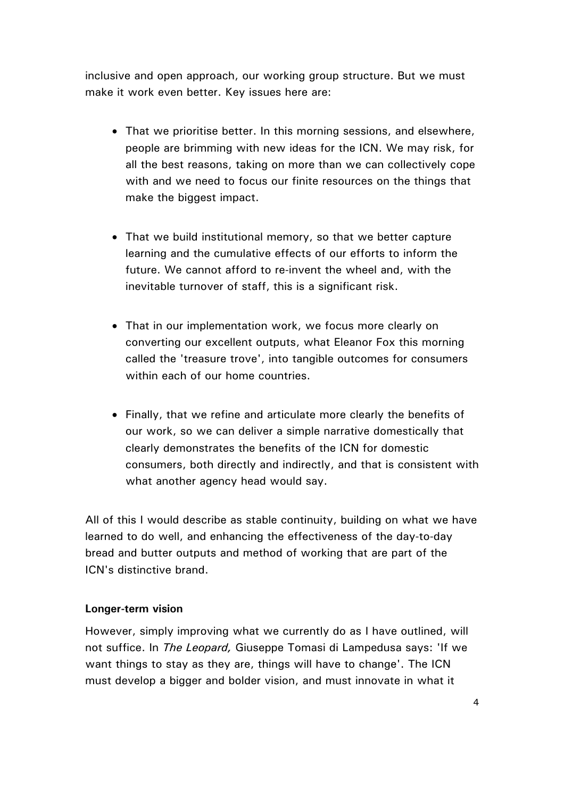inclusive and open approach, our working group structure. But we must make it work even better. Key issues here are:

- That we prioritise better. In this morning sessions, and elsewhere, people are brimming with new ideas for the ICN. We may risk, for all the best reasons, taking on more than we can collectively cope with and we need to focus our finite resources on the things that make the biggest impact.
- That we build institutional memory, so that we better capture learning and the cumulative effects of our efforts to inform the future. We cannot afford to re-invent the wheel and, with the inevitable turnover of staff, this is a significant risk.
- That in our implementation work, we focus more clearly on converting our excellent outputs, what Eleanor Fox this morning called the 'treasure trove', into tangible outcomes for consumers within each of our home countries.
- Finally, that we refine and articulate more clearly the benefits of our work, so we can deliver a simple narrative domestically that clearly demonstrates the benefits of the ICN for domestic consumers, both directly and indirectly, and that is consistent with what another agency head would say.

All of this I would describe as stable continuity, building on what we have learned to do well, and enhancing the effectiveness of the day-to-day bread and butter outputs and method of working that are part of the ICN's distinctive brand.

# **Longer-term vision**

However, simply improving what we currently do as I have outlined, will not suffice. In *The Leopard,* Giuseppe Tomasi di Lampedusa says: 'If we want things to stay as they are, things will have to change'. The ICN must develop a bigger and bolder vision, and must innovate in what it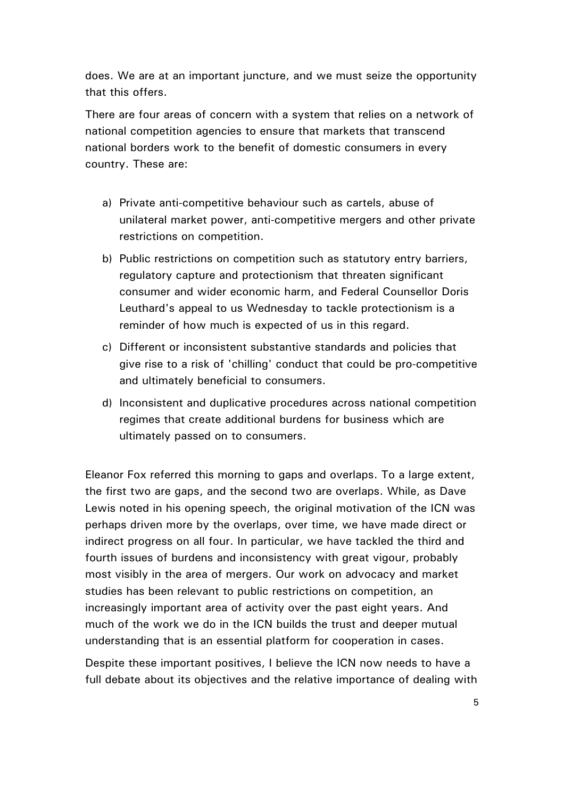does. We are at an important juncture, and we must seize the opportunity that this offers.

There are four areas of concern with a system that relies on a network of national competition agencies to ensure that markets that transcend national borders work to the benefit of domestic consumers in every country. These are:

- a) Private anti-competitive behaviour such as cartels, abuse of unilateral market power, anti-competitive mergers and other private restrictions on competition.
- b) Public restrictions on competition such as statutory entry barriers, regulatory capture and protectionism that threaten significant consumer and wider economic harm, and Federal Counsellor Doris Leuthard's appeal to us Wednesday to tackle protectionism is a reminder of how much is expected of us in this regard.
- c) Different or inconsistent substantive standards and policies that give rise to a risk of 'chilling' conduct that could be pro-competitive and ultimately beneficial to consumers.
- d) Inconsistent and duplicative procedures across national competition regimes that create additional burdens for business which are ultimately passed on to consumers.

Eleanor Fox referred this morning to gaps and overlaps. To a large extent, the first two are gaps, and the second two are overlaps. While, as Dave Lewis noted in his opening speech, the original motivation of the ICN was perhaps driven more by the overlaps, over time, we have made direct or indirect progress on all four. In particular, we have tackled the third and fourth issues of burdens and inconsistency with great vigour, probably most visibly in the area of mergers. Our work on advocacy and market studies has been relevant to public restrictions on competition, an increasingly important area of activity over the past eight years. And much of the work we do in the ICN builds the trust and deeper mutual understanding that is an essential platform for cooperation in cases.

Despite these important positives, I believe the ICN now needs to have a full debate about its objectives and the relative importance of dealing with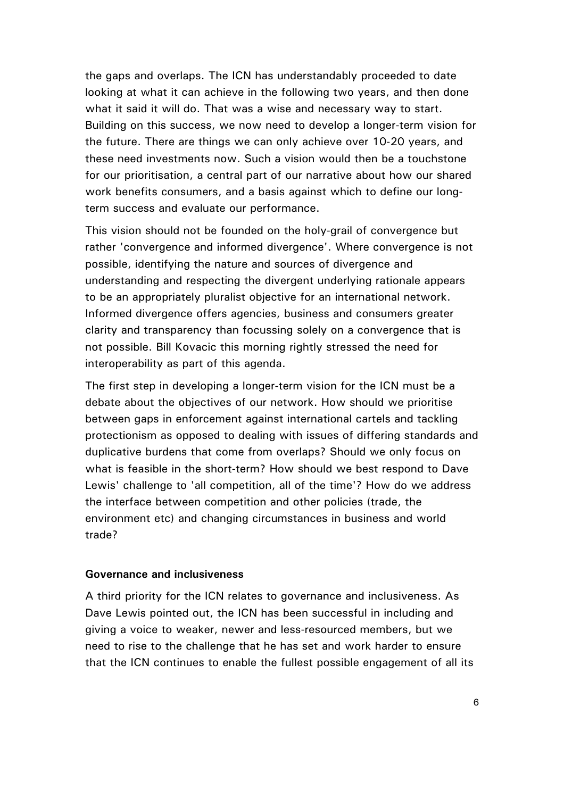the gaps and overlaps. The ICN has understandably proceeded to date looking at what it can achieve in the following two years, and then done what it said it will do. That was a wise and necessary way to start. Building on this success, we now need to develop a longer-term vision for the future. There are things we can only achieve over 10-20 years, and these need investments now. Such a vision would then be a touchstone for our prioritisation, a central part of our narrative about how our shared work benefits consumers, and a basis against which to define our longterm success and evaluate our performance.

This vision should not be founded on the holy-grail of convergence but rather 'convergence and informed divergence'. Where convergence is not possible, identifying the nature and sources of divergence and understanding and respecting the divergent underlying rationale appears to be an appropriately pluralist objective for an international network. Informed divergence offers agencies, business and consumers greater clarity and transparency than focussing solely on a convergence that is not possible. Bill Kovacic this morning rightly stressed the need for interoperability as part of this agenda.

The first step in developing a longer-term vision for the ICN must be a debate about the objectives of our network. How should we prioritise between gaps in enforcement against international cartels and tackling protectionism as opposed to dealing with issues of differing standards and duplicative burdens that come from overlaps? Should we only focus on what is feasible in the short-term? How should we best respond to Dave Lewis' challenge to 'all competition, all of the time'? How do we address the interface between competition and other policies (trade, the environment etc) and changing circumstances in business and world trade?

#### **Governance and inclusiveness**

A third priority for the ICN relates to governance and inclusiveness. As Dave Lewis pointed out, the ICN has been successful in including and giving a voice to weaker, newer and less-resourced members, but we need to rise to the challenge that he has set and work harder to ensure that the ICN continues to enable the fullest possible engagement of all its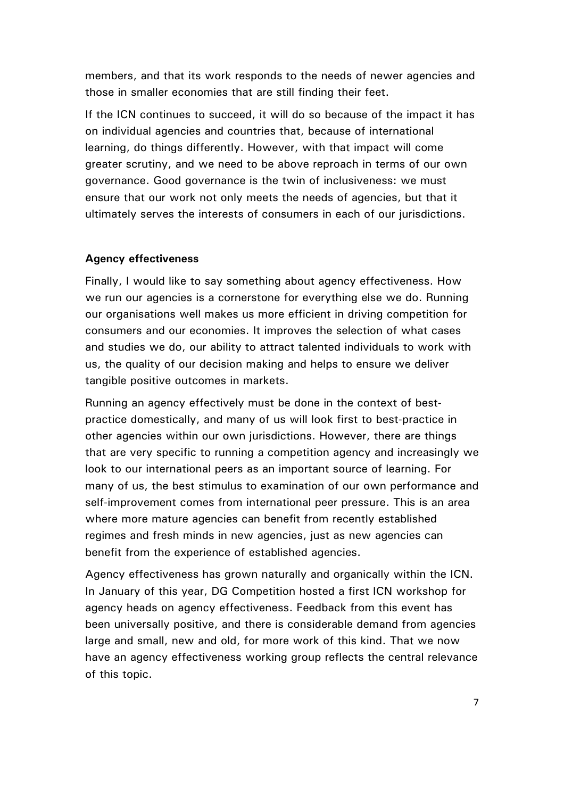members, and that its work responds to the needs of newer agencies and those in smaller economies that are still finding their feet.

If the ICN continues to succeed, it will do so because of the impact it has on individual agencies and countries that, because of international learning, do things differently. However, with that impact will come greater scrutiny, and we need to be above reproach in terms of our own governance. Good governance is the twin of inclusiveness: we must ensure that our work not only meets the needs of agencies, but that it ultimately serves the interests of consumers in each of our jurisdictions.

#### **Agency effectiveness**

Finally, I would like to say something about agency effectiveness. How we run our agencies is a cornerstone for everything else we do. Running our organisations well makes us more efficient in driving competition for consumers and our economies. It improves the selection of what cases and studies we do, our ability to attract talented individuals to work with us, the quality of our decision making and helps to ensure we deliver tangible positive outcomes in markets.

Running an agency effectively must be done in the context of bestpractice domestically, and many of us will look first to best-practice in other agencies within our own jurisdictions. However, there are things that are very specific to running a competition agency and increasingly we look to our international peers as an important source of learning. For many of us, the best stimulus to examination of our own performance and self-improvement comes from international peer pressure. This is an area where more mature agencies can benefit from recently established regimes and fresh minds in new agencies, just as new agencies can benefit from the experience of established agencies.

Agency effectiveness has grown naturally and organically within the ICN. In January of this year, DG Competition hosted a first ICN workshop for agency heads on agency effectiveness. Feedback from this event has been universally positive, and there is considerable demand from agencies large and small, new and old, for more work of this kind. That we now have an agency effectiveness working group reflects the central relevance of this topic.